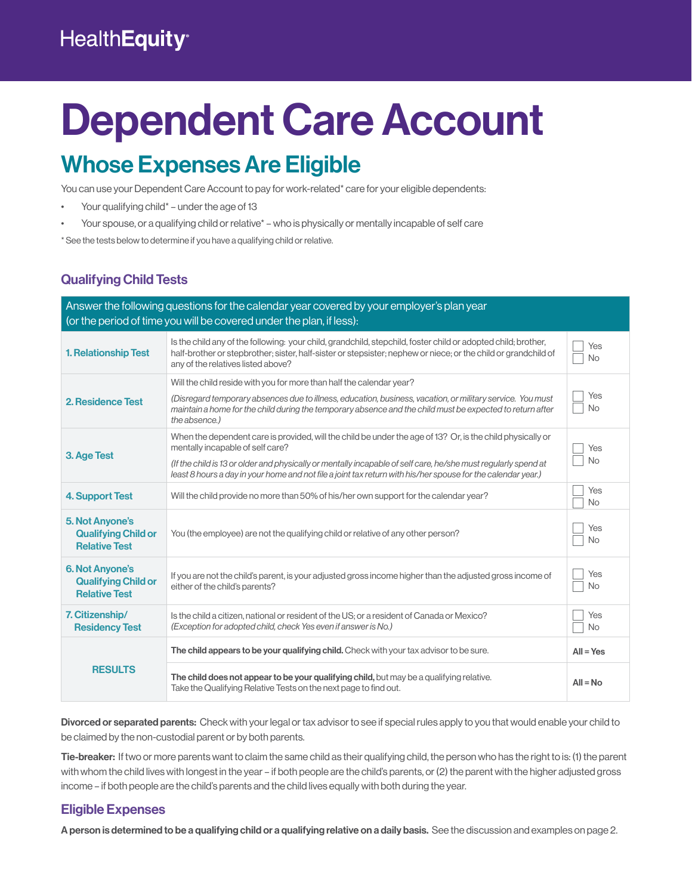## **HealthEquity®**

# Dependent Care Account

## Whose Expenses Are Eligible

You can use your Dependent Care Account to pay for work-related<sup>\*</sup> care for your eligible dependents:

- Your qualifying child\* under the age of 13
- Your spouse, or a qualifying child or relative\* who is physically or mentally incapable of self care

\* See the tests below to determine if you have a qualifying child or relative.

#### Qualifying Child Tests

| Answer the following questions for the calendar year covered by your employer's plan year<br>(or the period of time you will be covered under the plan, if less): |                                                                                                                                                                                                                                                                                                                                                                                  |                  |  |
|-------------------------------------------------------------------------------------------------------------------------------------------------------------------|----------------------------------------------------------------------------------------------------------------------------------------------------------------------------------------------------------------------------------------------------------------------------------------------------------------------------------------------------------------------------------|------------------|--|
| <b>1. Relationship Test</b>                                                                                                                                       | Is the child any of the following: your child, grandchild, stepchild, foster child or adopted child; brother,<br>half-brother or stepbrother; sister, half-sister or stepsister; nephew or niece; or the child or grandchild of<br>any of the relatives listed above?                                                                                                            | Yes<br><b>No</b> |  |
| 2. Residence Test                                                                                                                                                 | Will the child reside with you for more than half the calendar year?<br>(Disregard temporary absences due to illness, education, business, vacation, or military service. You must<br>maintain a home for the child during the temporary absence and the child must be expected to return after<br>the absence.)                                                                 | Yes<br><b>No</b> |  |
| 3. Age Test                                                                                                                                                       | When the dependent care is provided, will the child be under the age of 13? Or, is the child physically or<br>mentally incapable of self care?<br>(If the child is 13 or older and physically or mentally incapable of self care, he/she must regularly spend at<br>least 8 hours a day in your home and not file a joint tax return with his/her spouse for the calendar year.) | Yes<br><b>No</b> |  |
| 4. Support Test                                                                                                                                                   | Will the child provide no more than 50% of his/her own support for the calendar year?                                                                                                                                                                                                                                                                                            | Yes<br><b>No</b> |  |
| <b>5. Not Anyone's</b><br><b>Qualifying Child or</b><br><b>Relative Test</b>                                                                                      | You (the employee) are not the qualifying child or relative of any other person?                                                                                                                                                                                                                                                                                                 | Yes<br><b>No</b> |  |
| <b>6. Not Anyone's</b><br><b>Qualifying Child or</b><br><b>Relative Test</b>                                                                                      | If you are not the child's parent, is your adjusted gross income higher than the adjusted gross income of<br>either of the child's parents?                                                                                                                                                                                                                                      | Yes<br>No        |  |
| 7. Citizenship/<br><b>Residency Test</b>                                                                                                                          | Is the child a citizen, national or resident of the US; or a resident of Canada or Mexico?<br>(Exception for adopted child, check Yes even if answer is No.)                                                                                                                                                                                                                     | Yes<br><b>No</b> |  |
| <b>RESULTS</b>                                                                                                                                                    | The child appears to be your qualifying child. Check with your tax advisor to be sure.                                                                                                                                                                                                                                                                                           | $All = Yes$      |  |
|                                                                                                                                                                   | The child does not appear to be your qualifying child, but may be a qualifying relative.<br>Take the Qualifying Relative Tests on the next page to find out.                                                                                                                                                                                                                     | $All = No$       |  |

Divorced or separated parents: Check with your legal or tax advisor to see if special rules apply to you that would enable your child to be claimed by the non-custodial parent or by both parents.

Tie-breaker: If two or more parents want to claim the same child as their qualifying child, the person who has the right to is: (1) the parent with whom the child lives with longest in the year – if both people are the child's parents, or (2) the parent with the higher adjusted gross income – if both people are the child's parents and the child lives equally with both during the year.

#### Eligible Expenses

A person is determined to be a qualifying child or a qualifying relative on a daily basis. See the discussion and examples on page 2.